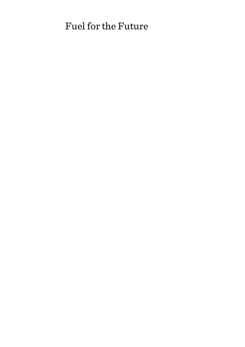# Fuel for the Future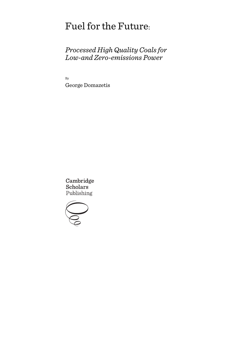# Fuel for the Future:

# *Processed High Quality Coals for Low-and Zero-emissions Power*

By George Domazetis

Cambridge **Scholars** Publishing

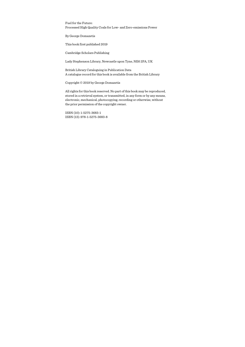Fuel for the Future: Processed High Quality Coals for Low- and Zero-emissions Power

By George Domazetis

This book first published 2019

Cambridge Scholars Publishing

Lady Stephenson Library, Newcastle upon Tyne, NE6 2PA, UK

British Library Cataloguing in Publication Data A catalogue record for this book is available from the British Library

Copyright © 2019 by George Domazetis

All rights for this book reserved. No part of this book may be reproduced, stored in a retrieval system, or transmitted, in any form or by any means, electronic, mechanical, photocopying, recording or otherwise, without the prior permission of the copyright owner.

ISBN (10): 1-5275-3683-1 ISBN (13): 978-1-5275-3683-8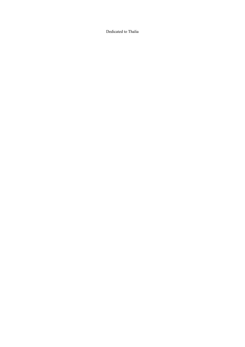Dedicated to Thalia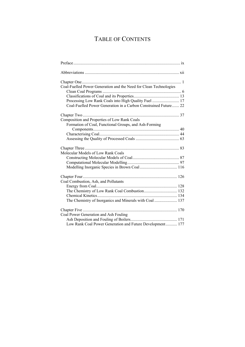# TABLE OF CONTENTS

| Coal-Fuelled Power Generation and the Need for Clean Technologies |
|-------------------------------------------------------------------|
|                                                                   |
| Processing Low Rank Coals into High Quality Fuel  17              |
| Coal-Fuelled Power Generation in a Carbon Constrained Future 22   |
|                                                                   |
| Composition and Properties of Low Rank Coals                      |
| Formation of Coal, Functional Groups, and Ash-Forming             |
|                                                                   |
|                                                                   |
|                                                                   |
|                                                                   |
| Molecular Models of Low Rank Coals                                |
|                                                                   |
|                                                                   |
|                                                                   |
|                                                                   |
| Coal Combustion, Ash, and Pollutants                              |
|                                                                   |
| The Chemistry of Low Rank Coal Combustion 132                     |
|                                                                   |
| The Chemistry of Inorganics and Minerals with Coal  137           |
|                                                                   |
| Coal Power Generation and Ash Fouling                             |
|                                                                   |
| Low Rank Coal Power Generation and Future Development 177         |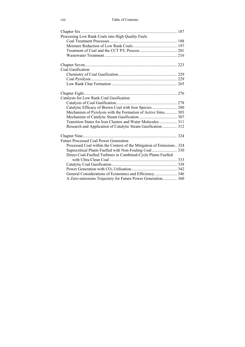| Processing Low Rank Coals into High Quality Fuels                    |  |
|----------------------------------------------------------------------|--|
|                                                                      |  |
|                                                                      |  |
|                                                                      |  |
|                                                                      |  |
|                                                                      |  |
| Coal Gasification                                                    |  |
|                                                                      |  |
|                                                                      |  |
|                                                                      |  |
|                                                                      |  |
| Catalysts for Low Rank Coal Gasification                             |  |
|                                                                      |  |
| Catalytic Efficacy of Brown Coal with Iron Species  280              |  |
| Mechanism of Pyrolysis with the Formation of Active Sites 303        |  |
|                                                                      |  |
| Transition States for Iron Clusters and Water Molecules  311         |  |
| Research and Application of Catalytic Steam Gasification  312        |  |
|                                                                      |  |
| Future Processed Coal Power Generation                               |  |
| Processed Coal within the Context of the Mitigation of Emissions 324 |  |
| Supercritical Plants Fuelled with Non-Fouling Coal  330              |  |
| Direct Coal-Fuelled Turbines in Combined-Cycle Plants Fuelled        |  |
|                                                                      |  |
|                                                                      |  |
|                                                                      |  |
| General Considerations of Economics and Efficiency 346               |  |
| A Zero-emissions Trajectory for Future Power Generation 360          |  |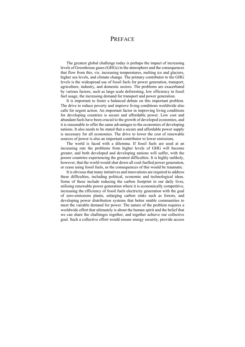## PREFACE

The greatest global challenge today is perhaps the impact of increasing levels of Greenhouse gases (GHGs) in the atmosphere and the consequences that flow from this, viz. increasing temperatures, melting ice and glaciers, higher sea levels, and climate change. The primary contributor to the GHG levels is the widespread use of fossil fuels for power generation, transport, agriculture, industry, and domestic sectors. The problems are exacerbated by various factors, such as large scale deforesting, low efficiency in fossil fuel usage, the increasing demand for transport and power generation.

It is important to foster a balanced debate on this important problem. The drive to reduce poverty and improve living conditions worldwide also calls for urgent action. An important factor in improving living conditions for developing countries is secure and affordable power. Low cost and abundant fuels have been crucial to the growth of developed economies, and it is reasonable to offer the same advantages to the economies of developing nations. It also needs to be stated that a secure and affordable power supply is necessary for all economies. The drive to lower the cost of renewable sources of power is also an important contributor to lower emissions.

The world is faced with a dilemma. If fossil fuels are used at an increasing rate the problems from higher levels of GHG will become greater, and both developed and developing nations will suffer, with the poorer countries experiencing the greatest difficulties. It is highly unlikely, however, that the world would shut down all coal-fuelled power generation, or cease using fossil fuels, as the consequences of this would be traumatic.

It is obvious that many initiatives and innovations are required to address these difficulties, including political, economic and technological ideas. Some of these include reducing the carbon footprint in our daily lives, utilising renewable power generation where it is economically competitive, increasing the efficiency of fossil fuels electricity generation with the goal of zero-emissions plants, enlarging carbon sinks such as forests, and developing power distribution systems that better enable communities to meet the variable demand for power. The nature of the problem requires a worldwide effort that ultimately is about the human spirit and the belief that we can share the challenges together, and together achieve our collective goal. Such a collective effort would ensure energy security, provide access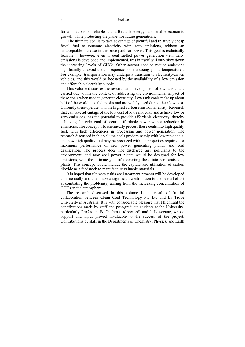for all nations to reliable and affordable energy, and enable economic growth, while protecting the planet for future generations.

 The ultimate goal is to take advantage of plentiful and relatively cheap fossil fuel to generate electricity with zero emissions, without an unacceptable increase in the price paid for power. This goal is technically feasible – however, even if coal-fuelled power generation with zeroemissions is developed and implemented, this in itself will only slow down the increasing levels of GHGs. Other sectors need to reduce emissions significantly to avoid the consequences of increasing global temperatures. For example, transportation may undergo a transition to electricity-driven vehicles, and this would be boosted by the availability of a low emission and affordable electricity supply.

This volume discusses the research and development of low rank coals, carried out within the context of addressing the environmental impact of these coals when used to generate electricity. Low rank coals make up about half of the world's coal deposits and are widely used due to their low cost. Currently these operate with the highest carbon emission intensity. Research that can take advantage of the low cost of low rank coal, and achieve low or zero emissions, has the potential to provide affordable electricity, thereby achieving the twin goal of secure, affordable power with a reduction in emissions. The concept is to chemically process these coals into high quality fuel, with high efficiencies in processing and power generation. The research discussed in this volume deals predominately with low rank coals, and how high quality fuel may be produced with the properties required for maximum performance of new power generating plants, and coal gasification. The process does not discharge any pollutants to the environment, and new coal power plants would be designed for low emissions, with the ultimate goal of converting these into zero-emissions plants. This concept would include the capture and utilisation of carbon dioxide as a feedstock to manufacture valuable materials.

It is hoped that ultimately this coal treatment process will be developed commercially and thus make a significant contribution to the overall effort at combating the problem(s) arising from the increasing concentration of GHGs in the atmosphere.

The research discussed in this volume is the result of fruitful collaboration between Clean Coal Technology Pty Ltd and La Trobe University in Australia. It is with considerable pleasure that I highlight the contributions made by staff and post-graduate students at the University, particularly Professors B. D. James (deceased) and J. Liesegang, whose support and input proved invaluable to the success of the project. Contributions by staff in the Departments of Chemistry, Physics, and Earth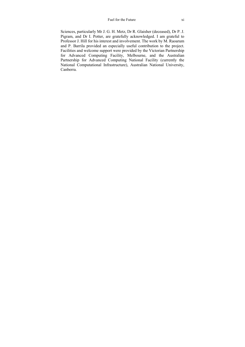#### Fuel for the Future xi

Sciences, particularly Mr J. G. H. Metz, Dr R. Glaisher (deceased), Dr P. J. Pigram, and Dr I. Potter, are gratefully acknowledged. I am grateful to Professor J. Hill for his interest and involvement. The work by M. Raoarum and P. Barrila provided an especially useful contribution to the project. Facilities and welcome support were provided by the Victorian Partnership for Advanced Computing Facility, Melbourne, and the Australian Partnership for Advanced Computing National Facility (currently the National Computational Infrastructure), Australian National University, Canberra.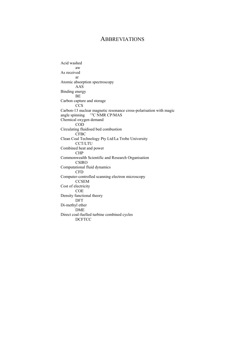### **ABBREVIATIONS**

Acid washed aw As received ar Atomic absorption spectroscopy AAS Binding energy BE Carbon capture and storage CCS Carbon-13 nuclear magnetic resonance cross-polarisation with magic angle spinning  $13C$  NMR CP/MAS Chemical oxygen demand COD Circulating fluidised bed combustion CFBC Clean Coal Technology Pty Ltd/La Trobe University CCT/LTU Combined heat and power CHP Commonwealth Scientific and Research Organisation CSIRO Computational fluid dynamics CFD Computer-controlled scanning electron microscopy **CCSEM** Cost of electricity COE Density functional theory DFT Di-methyl ether DME Direct coal-fuelled turbine combined cycles DCFTCC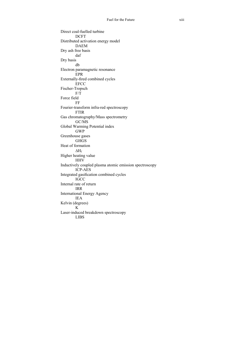Direct coal-fuelled turbine **DCFT** Distributed activation energy model DAEM Dry ash free basis daf Dry basis db Electron paramagnetic resonance EPR Externally-fired combined cycles EFCC Fischer-Tropsch F/T Force field FF Fourier-transform infra-red spectroscopy FTIR Gas chromatography/Mass spectrometry GC/MS Global Warming Potential index GWP Greenhouse gases **GHGS** Heat of formation  $\Delta H_f$ Higher heating value **HHV** Inductively coupled plasma atomic emission spectroscopy ICP-AES Integrated gasification combined cycles IGCC Internal rate of return IRR International Energy Agency IEA Kelvin (degrees) K Laser-induced breakdown spectroscopy LIBS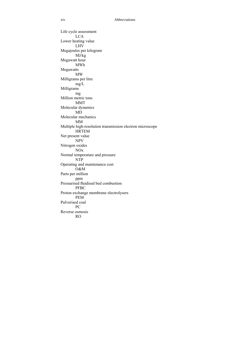Life cycle assessment LCA Lower heating value LHV Megajoules per kilogram MJ/kg Megawatt hour MWh Megawatts MW Milligrams per litre mg/L Milligrams mg Million metric tons MMT Molecular dynamics MD Molecular mechanics MM Multiple high-resolution transmission electron microscope HRTEM Net present value NPV Nitrogen oxides NOx Normal temperature and pressure NTP Operating and maintenance cost O&M Parts per million ppm Pressurised fluidised bed combustion **PFBC** Proton exchange membrane electrolysers PEM Pulverised coal PC Reverse osmosis RO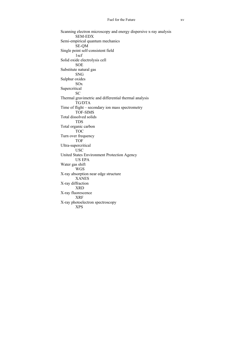Scanning electron microscopy and energy dispersive x-ray analysis SEM-EDX Semi-empirical quantum mechanics SE-QM Single point self-consistent field 1scf Solid oxide electrolysis cell SOE Substitute natural gas SNG Sulphur oxides SOx Supercritical SC Thermal gravimetric and differential thermal analysis TG/DTA Time of flight – secondary ion mass spectrometry TOF-SIMS Total dissolved solids TDS Total organic carbon TOC Turn over frequency TOF Ultra‐supercritical USC United States Environment Protection Agency US EPA Water gas shift WGS X-ray absorption near edge structure XANES X-ray diffraction XRD X-ray fluorescence XRF X-ray photoelectron spectroscopy XPS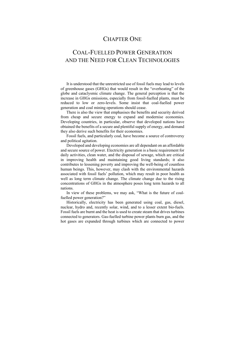## CHAPTER ONE

## COAL-FUELLED POWER GENERATION AND THE NEED FOR CLEAN TECHNOLOGIES

It is understood that the unrestricted use of fossil fuels may lead to levels of greenhouse gases (GHGs) that would result in the "overheating" of the globe and cataclysmic climate change. The general perception is that the increase in GHGs emissions, especially from fossil-fuelled plants, must be reduced to low or zero-levels. Some insist that coal-fuelled power generation and coal mining operations should cease.

There is also the view that emphasises the benefits and security derived from cheap and secure energy to expand and modernise economies. Developing countries, in particular, observe that developed nations have obtained the benefits of a secure and plentiful supply of energy, and demand they also derive such benefits for their economies.

Fossil fuels, and particularly coal, have become a source of controversy and political agitation.

Developed and developing economies are all dependant on an affordable and secure source of power. Electricity generation is a basic requirement for daily activities, clean water, and the disposal of sewage, which are critical in improving health and maintaining good living standards; it also contributes to lessening poverty and improving the well-being of countless human beings. This, however, may clash with the environmental hazards associated with fossil fuels' pollution, which may result in poor health as well as long term climate change. The climate change due to the rising concentrations of GHGs in the atmosphere poses long term hazards to all nations.

In view of these problems, we may ask, "What is the future of coalfuelled power generation?"

Historically, electricity has been generated using coal, gas, diesel, nuclear, hydro and, recently solar, wind, and to a lesser extent bio-fuels. Fossil fuels are burnt and the heat is used to create steam that drives turbines connected to generators. Gas-fuelled turbine power plants burn gas, and the hot gases are expanded through turbines which are connected to power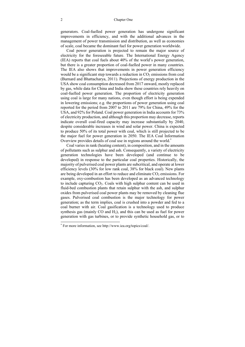generators. Coal-fuelled power generation has undergone significant improvements in efficiency, and with the additional advances in the management of power transmission and distribution, as well as economies of scale, coal became the dominant fuel for power generation worldwide.

Coal power generation is projected to remain the major source of electricity for the foreseeable future. The International Energy Agency (IEA) reports that coal fuels about 40% of the world's power generation, but there is a greater proportion of coal-fuelled power in many countries. The IEA also shows that improvements in power generation efficiency would be a significant step towards a reduction in  $CO<sub>2</sub>$  emissions from coal (Burnard and Bhattacharya, 2011). Projections of energy production in the USA show coal consumption decreased from 2017 onward, mostly replaced by gas, while data for China and India show these countries rely heavily on coal-fuelled power generation. The proportion of electricity generation using coal is large for many nations, even though effort is being expended in lowering emissions; e.g. the proportions of power generation using coal reported for the period from 2007 to 2011 are 79% for China, 49% for the USA, and 92% for Poland. Coal power generation in India accounts for 73% of electricity production, and although this proportion may decrease, reports indicate overall coal-fired capacity may increase substantially by 2040, despite considerable increases in wind and solar power. China is expected to produce 50% of its total power with coal, which is still projected to be the major fuel for power generation in 2050. The IEA Coal Information Overview provides details of coal use in regions around the world.\*

Coal varies in rank (heating content), in composition, and in the amounts of pollutants such as sulphur and ash. Consequently, a variety of electricity generation technologies have been developed (and continue to be developed) in response to the particular coal properties. Historically, the majority of pulverised coal power plants are subcritical, and operate at lower efficiency levels (30% for low rank coal, 38% for black coal). New plants are being developed in an effort to reduce and eliminate  $CO<sub>2</sub>$  emissions. For example, oxy-combustion has been developed as an advanced technology to include capturing  $CO<sub>2</sub>$ . Coals with high sulphur content can be used in fluid-bed combustion plants that retain sulphur with the ash, and sulphur oxides from pulverised coal power plants may be removed by cleaning flue gases. Pulverised coal combustion is the major technology for power generation; as the term implies, coal is crushed into a powder and fed to a coal burner with air. Coal gasification is a technology used to produce synthesis gas (mainly CO and  $H_2$ ), and this can be used as fuel for power generation with gas turbines, or to provide synthetic household gas, or to

<sup>\*</sup> For more information, see http://www.iea.org/topics/coal/.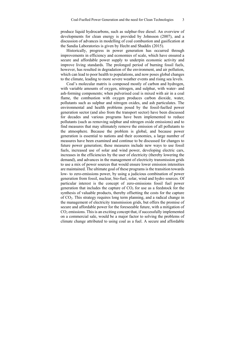produce liquid hydrocarbons, such as sulphur-free diesel. An overview of developments for clean energy is provided by Johnsson (2007), and a discussion of advances in modelling of coal combustion and gasification at the Sandia Laboratories is given by Hecht and Shaddix (2015).

Historically, progress in power generation has occurred through improvements in efficiency and economies of scale, which have ensured a secure and affordable power supply to underpin economic activity and improve living standards. The prolonged period of burning fossil fuels, however, has resulted in degradation of the environment, and air pollution, which can lead to poor health to populations, and now poses global changes to the climate, leading to more severe weather events and rising sea levels.

Coal's molecular matrix is composed mostly of carbon and hydrogen, with variable amounts of oxygen, nitrogen, and sulphur, with water- and ash-forming components; when pulverised coal is mixed with air in a coal flame, the combustion with oxygen produces carbon dioxide, water, pollutants such as sulphur and nitrogen oxides, and ash particulates. The environmental and health problems posed by the fossil-fuelled power generation sector (and also from the transport sector) have been discussed for decades and various programs have been implemented to reduce pollutants (such as removing sulphur and nitrogen oxide emissions) and to find measures that may ultimately remove the emission of all pollutants to the atmosphere. Because the problem is global, and because power generation is essential to nations and their economies, a large number of measures have been examined and continue to be discussed for changes to future power generation; these measures include new ways to use fossil fuels, increased use of solar and wind power, developing electric cars, increases in the efficiencies by the user of electricity (thereby lowering the demand), and advances in the management of electricity transmission grids to use a mix of power sources that would ensure lower emission intensities are maintained. The ultimate goal of these programs is the transition towards low- to zero-emissions power, by using a judicious combination of power generation from fossil, nuclear, bio-fuel, solar, wind and hydro sources. Of particular interest is the concept of zero-emissions fossil fuel power generation that includes the capture of  $CO<sub>2</sub>$  for use as a feedstock for the synthesis of valuable products, thereby offsetting the costs for the capture of CO2. This strategy requires long term planning, and a radical change in the management of electricity transmission grids, but offers the promise of secure and affordable power for the foreseeable future, with a mitigation of CO2 emissions. This is an exciting concept that, if successfully implemented on a commercial sale, would be a major factor to solving the problems of climate change attributed to using coal as a fuel. A secure and affordable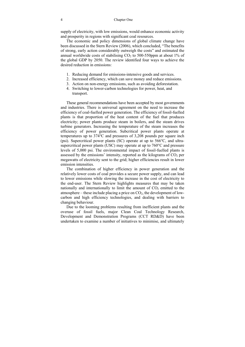supply of electricity, with low emissions, would enhance economic activity and prosperity in regions with significant coal resources.

The economic and policy dimensions of global climate change have been discussed in the Stern Review (2006), which concluded, "The benefits of strong, early action considerably outweigh the costs" and estimated the annual worldwide costs of stabilising  $CO<sub>2</sub>$  to 500-550ppm at about 1% of the global GDP by 2050. The review identified four ways to achieve the desired reduction in emissions:

- 1. Reducing demand for emissions-intensive goods and services.
- 2. Increased efficiency, which can save money and reduce emissions.
- 3. Action on non-energy emissions, such as avoiding deforestation.
- 4. Switching to lower-carbon technologies for power, heat, and transport.

These general recommendations have been accepted by most governments and industries. There is universal agreement on the need to increase the efficiency of coal-fuelled power generation. The efficiency of fossil-fuelled plants is that proportion of the heat content of the fuel that produces electricity; power plants produce steam in boilers, and the steam drives turbine generators. Increasing the temperature of the steam increases the efficiency of power generation. Subcritical power plants operate at temperatures up to 374℃ and pressures of 3,208 pounds per square inch (psi). Supercritical power plants (SC) operate at up to 566℃, and ultrasupercritical power plants (USC) may operate at up to 760°C and pressure levels of 5,000 psi. The environmental impact of fossil-fuelled plants is assessed by the emissions' intensity, reported as the kilograms of  $CO<sub>2</sub>$  per megawatts of electricity sent to the grid; higher efficiencies result in lower emission intensities.

The combination of higher efficiency in power generation and the relatively lower costs of coal provides a secure power supply, and can lead to lower emissions while slowing the increase in the cost of electricity to the end-user. The Stern Review highlights measures that may be taken nationally and internationally to limit the amount of  $CO<sub>2</sub>$  emitted to the atmosphere – these include placing a price on  $CO<sub>2</sub>$ , the development of lowcarbon and high efficiency technologies, and dealing with barriers to changing behaviour.

Due to the looming problems resulting from inefficient plants and the overuse of fossil fuels, major Clean Coal Technology Research, Development and Demonstration Programs (CCT RD&D) have been undertaken to examine a number of initiatives to minimise, and ultimately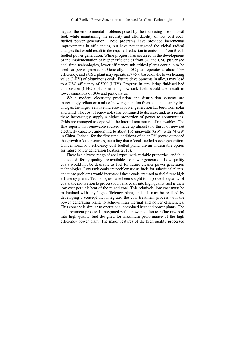negate, the environmental problems posed by the increasing use of fossil fuel, while maintaining the security and affordability of low cost coalfuelled power generation. These programs have provided incremental improvements in efficiencies, but have not instigated the global radical changes that would result in the required reduction in emissions from fossilfuelled power generation. While progress has occurred in the development of the implementation of higher efficiencies from SC and USC pulverised coal‐fired technologies, lower efficiency sub‐critical plants continue to be used for power generation. Generally, an SC plant operates at about 45% efficiency, and a USC plant may operate at  $\geq 45\%$  based on the lower heating value (LHV) of bituminous coals. Future developments in alloys may lead to a USC efficiency of 50% (LHV). Progress in circulating fluidised bed combustion (CFBC) plants utilising low‐rank fuels would also result in lower emissions of  $SO<sub>X</sub>$  and particulates.

While modern electricity production and distribution systems are increasingly reliant on a mix of power generation from coal, nuclear, hydro, and gas, the largest relative increase in power generation has been from solar and wind. The cost of renewables has continued to decrease and, as a result, these increasingly supply a higher proportion of power to communities. Grids are managed to cope with the intermittent nature of renewables. The IEA reports that renewable sources made up almost two-thirds of new net electricity capacity, amounting to about 165 gigawatts (GW), with 74 GW in China. Indeed, for the first time, additions of solar PV power outpaced the growth of other sources, including that of coal-fuelled power generation. Conventional low efficiency coal-fuelled plants are an undesirable option for future power generation (Katzer, 2017).

There is a diverse range of coal types, with variable properties, and thus coals of differing quality are available for power generation. Low quality coals would not be desirable as fuel for future cleaner power generation technologies. Low rank coals are problematic as fuels for subcritical plants, and these problems would increase if these coals are used to fuel future high efficiency plants. Technologies have been sought to improve the quality of coals; the motivation to process low rank coals into high quality fuel is their low cost per unit heat of the mined coal. This relatively low cost must be maintained with any high efficiency plant, and this may be realised by developing a concept that integrates the coal treatment process with the power generating plant, to achieve high thermal and power efficiencies. This concept is similar to operational combined heat and power plants. The coal treatment process is integrated with a power station to refine raw coal into high quality fuel designed for maximum performance of the high efficiency power plant. The major features of the high quality processed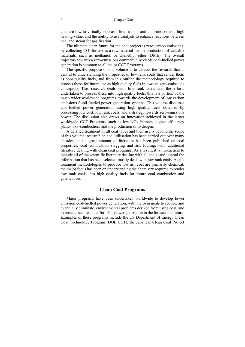coal are low to virtually zero ash, low sulphur and chloride content, high heating value, and the ability to use catalysts to enhance reactions between coal and steam for gasification.

The ultimate clean future for the coal project is zero-carbon emissions, by collecting  $CO<sub>2</sub>$  for use as a raw material for the production of valuable materials, such as methanol, or di-methyl ether (DME). The overall trajectory towards a zero-emissions commercially viable coal-fuelled power generation is common to all major CCT Programs.

The specific purpose of this volume is to discuss the research that is central to understanding the properties of low rank coals that render them as poor quality fuels, and from this outline the methodology required to process these for future use as high quality fuels in low- to zero-emissions concept(s). This research deals with low rank coals and the efforts undertaken to process these into high quality fuels; this is a portion of the much wider worldwide programs towards the development of low carbon emissions fossil-fuelled power generation systems. This volume discusses coal-fuelled power generation using high quality fuels obtained by processing low cost, low rank coals, and a strategy towards zero-emissions power. The discussion also draws on innovation achieved in the larger worldwide CCT Programs, such as low-NOx burners, higher efficiency plants, oxy-combustion, and the production of hydrogen.

A detailed treatment of all coal types and their use is beyond the scope of this volume; research on coal utilisation has been carried out over many decades, and a great amount of literature has been published on coal properties, coal combustion slagging and ash fouling, with additional literature dealing with clean coal programs. As a result, it is impractical to include all of the scientific literature dealing with all coals, and instead the information that has been selected mostly deals with low rank coals. As the treatment methodologies to produce low ash coal are primarily chemical, the major focus has been on understanding the chemistry required to render low rank coals into high quality fuels for future coal combustion and gasification.

#### **Clean Coal Programs**

Major programs have been undertaken worldwide to develop lower emission coal-fuelled power generation, with the twin goals to reduce, and eventually eliminate, environmental problems derived from using coal, and to provide secure and affordable power generation in the foreseeable future. Examples of these programs include the US Department of Energy Clean Coal Technology Program (DOE CCT), the Japanese Clean Coal Project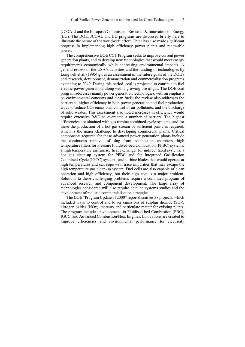(JCOAL) and the European Commission Research & Innovation on Energy (EU). The DOE, JCOAL and EU programs are discussed briefly here to illustrate the nature of the worldwide effort. China has also made significant progress in implementing high efficiency power plants and renewable power.

The comprehensive DOE CCT Program seeks to improve current power generation plants, and to develop new technologies that would meet energy requirements economically while addressing environmental impacts. A general review of the USA's activities and the funding of technologies by Longwell et al. (1995) gives an assessment of the future goals of the DOE's coal research, development, demonstration and commercialisation programs extending to 2040. During this period, coal is projected to continue to fuel electric power generation, along with a growing use of gas. The DOE coal program addresses mainly power generation technologies, with an emphasis on environmental concerns and clean fuels; the review also addresses the barriers to higher efficiency in both power generation and fuel production, ways to reduce  $CO<sub>2</sub>$  emissions, control of air pollutants, and the discharge of solid wastes. This assessment also noted increases in efficiency would require extensive R&D to overcome a number of barriers. The highest efficiencies are obtained with gas turbine combined-cycle systems, and for these the production of a hot gas stream of sufficient purity is required, which is the major challenge to developing commercial plants. Critical components required for these advanced power generation plants include the continuous removal of slag from combustion chambers, high temperature filters for Pressure Fluidised-bed Combustion (PFBC) systems, a high temperature air/furnace heat exchanger for indirect fixed systems, a hot gas clean-up system for PFBC and for Integrated Gasification Combined-Cycle (IGCC) systems, and turbine blades that would operate at high temperatures and can cope with trace impurities that may escape the high temperature gas clean-up system. Fuel cells are also capable of clean operation and high efficiency, but their high cost is a major problem. Solutions to these challenging problems require a continued program of advanced research and component development. The large array of technologies considered will also require detailed systems studies and the development of realistic commercialisation strategies.

The DOE "Program Update of 2000" report discusses 38 projects, which included ways to control and lower emissions of sulphur dioxide  $(SO<sub>2</sub>)$ , nitrogen oxides (NOx), mercury and particulate matter for existing plants. The program includes developments in Fluidised-bed Combustion (FBC), IGCC, and Advanced Combustion/Heat Engines. Innovations are created to improve efficiencies and environmental performance for electricity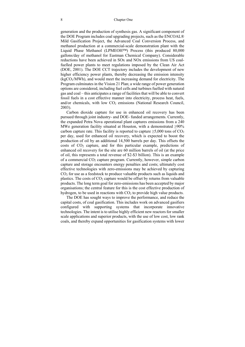generation and the production of synthesis gas. A significant component of the DOE Program includes coal upgrading projects, such as the ENCOAL® Mild Gasification Project, the Advanced Coal Conversion Process, and methanol production at a commercial-scale demonstration plant with the Liquid Phase Methanol (LPMEOH™) Process (this produced 80,000 gallons/day of methanol for Eastman Chemical Company). Considerable reductions have been achieved in SOx and NOx emissions from US coalfuelled power plants to meet regulations imposed by the Clean Air Act (DOE, 2001). The DOE CCT trajectory includes the development of new higher efficiency power plants, thereby decreasing the emission intensity  $(kgCO<sub>2</sub>/MWh)$ , and would meet the increasing demand for electricity. The Program culminates in the Vision 21 Plan; a wide range of power generation options are considered, including fuel cells and turbines fuelled with natural gas and coal – this anticipates a range of facilities that will be able to convert fossil fuels in a cost effective manner into electricity, process heat, fuels, and/or chemicals, with low  $CO<sub>2</sub>$  emissions (National Research Council, 2003).

Carbon dioxide capture for use in enhanced oil recovery has been pursued through joint industry- and DOE- funded arrangements. Currently, the expanded Petra Nova operational plant captures emissions from a 240 MWe generation facility situated at Houston, with a demonstrated ≥90% carbon capture rate. This facility is reported to capture  $\geq 5,000$  tons of CO<sub>2</sub> per day, used for enhanced oil recovery, which is expected to boost the production of oil by an additional 14,500 barrels per day. This offsets the costs of  $CO<sub>2</sub>$  capture, and for this particular example, predictions of enhanced oil recovery for the site are 60 million barrels of oil (at the price of oil, this represents a total revenue of \$2-\$3 billion). This is an example of a commercial  $CO<sub>2</sub>$  capture program. Currently, however, simple carbon capture and storage encounters energy penalties and costs; ultimately cost effective technologies with zero-emissions may be achieved by capturing  $CO<sub>2</sub>$  for use as a feedstock to produce valuable products such as liquids and plastics. The costs of  $CO<sub>2</sub>$  capture would be offset by returns from valuable products. The long term goal for zero-emissions has been accepted by major organisations; the central feature for this is the cost effective production of hydrogen, to be used in reactions with  $CO<sub>2</sub>$  to provide high value products.

The DOE has sought ways to improve the performance, and reduce the capital costs, of coal gasification. This includes work on advanced gasifiers configured with supporting systems that incorporate innovative technologies. The intent is to utilise highly efficient new reactors for smaller scale applications and superior products, with the use of low cost, low rank coals, and thereby expand opportunities for gasification systems with lower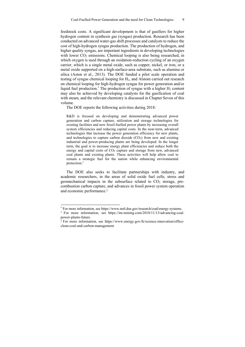feedstock costs. A significant development is that of gasifiers for higher hydrogen content in synthesis gas (syngas) production. Research has been conducted on advanced water-gas shift processes and catalysts to reduce the cost of high-hydrogen syngas production. The production of hydrogen, and higher quality syngas, are important ingredients in developing technologies with lower  $CO<sub>2</sub>$  emissions. Chemical looping is also being researched, in which oxygen is used through an oxidation-reduction cycling of an oxygen carrier, which is a single metal oxide, such as copper, nickel, or iron, or a metal oxide supported on a high-surface-area substrate, such as alumina or silica (Aston et al., 2013). The DOE funded a pilot scale operation and testing of syngas chemical looping for H2, and Alstom carried out research on chemical looping for high-hydrogen syngas for power generation and/or liquid fuel production.<sup>\*</sup> The production of syngas with a higher  $H_2$  content may also be achieved by developing catalysts for the gasification of coal with steam, and the relevant chemistry is discussed in Chapter Seven of this volume.

The DOE reports the following activities during 2018:

R&D is focused on developing and demonstrating advanced power generation and carbon capture, utilization and storage technologies for existing facilities and new fossil-fuelled power plants by increasing overall system efficiencies and reducing capital costs. In the near-term, advanced technologies that increase the power generation efficiency for new plants, and technologies to capture carbon dioxide  $(CO<sub>2</sub>)$  from new and existing industrial and power-producing plants are being developed. In the longer term, the goal is to increase energy plant efficiencies and reduce both the energy and capital costs of  $CO<sub>2</sub>$  capture and storage from new, advanced coal plants and existing plants. These activities will help allow coal to remain a strategic fuel for the nation while enhancing environmental protection.†

The DOE also seeks to facilitate partnerships with industry, and academic researchers, in the areas of solid oxide fuel cells, stress and geomechanical impacts in the subsurface related to  $CO<sub>2</sub>$  storage, precombustion carbon capture, and advances in fossil power system operation and economic performance.‡

<sup>\*</sup> For more information, see https://www.netl.doe.gov/research/coal/energy-systems.

<sup>†</sup> For more information, see https://im-mining.com/2018/11/13/advancing-coalpower-plants-future.

<sup>‡</sup> For more information, see https://www.energy.gov/fe/science-innovation/officeclean-coal-and-carbon-management.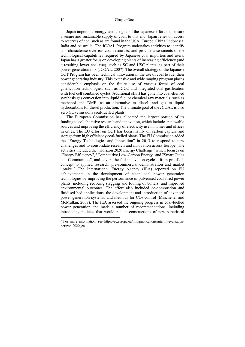Japan imports its energy, and the goal of the Japanese effort is to ensure a secure and sustainable supply of coal; to this end, Japan relies on access to reserves of coal such as are found in the USA, Europe, China, Indonesia, India and Australia. The JCOAL Program undertakes activities to identify and characterise overseas coal resources, and provide assessments of the technological capabilities required by Japanese coal importers and users. Japan has a greater focus on developing plants of increasing efficiency (and a resulting lower coal use), such as SC and USC plants, as part of their power generation mix (JCOAL, 2007). The overall strategy of the Japanese CCT Program has been technical innovation in the use of coal to fuel their power generating industry. This extensive and wide ranging program places considerable emphasis on the future use of various forms of coal gasification technologies, such as IGCC and integrated coal gasification with fuel cell combined cycles. Additional effort has gone into coal-derived synthesis gas conversion into liquid fuel or chemical raw materials, such as methanol and DME, as an alternative to diesel, and gas to liquid hydrocarbons for diesel production. The ultimate goal of the JCOAL is also zero  $CO<sub>2</sub>$  emissions coal-fuelled plants.

The European Commission has allocated the largest portion of its funding to collaborative research and innovation, which includes renewable sources and improving the efficiency of electricity use in homes and offices in cities. The EU effort on CCT has been mainly on carbon capture and storage from high efficiency coal-fuelled plants. The EU Commission added the "Energy Technologies and Innovation" in 2013 to respond to new challenges and to consolidate research and innovation across Europe. The activities included the "Horizon 2020 Energy Challenge" which focuses on "Energy Efficiency", "Competitive Low-Carbon Energy" and "Smart Cities and Communities", and covers the full innovation cycle – from proof-ofconcept to applied research, pre-commercial demonstration and market uptake. \* The International Energy Agency (IEA) reported on EU achievements in the development of clean coal power generation technologies by improving the performance of pulverised coal-fired power plants, including reducing slagging and fouling of boilers, and improved environmental outcomes. The effort also included co-combustion and fluidised bed applications, the development and introduction of advanced power generation systems, and methods for  $CO<sub>2</sub>$  control (Minchener and McMullan, 2007). The IEA assessed the ongoing progress in coal-fuelled power generation and made a number of recommendations, including introducing policies that would reduce constructions of new subcritical

<sup>\*</sup> For more information, see https://ec.europa.eu/info/publications/interim-evaluationhorizon-2020\_en.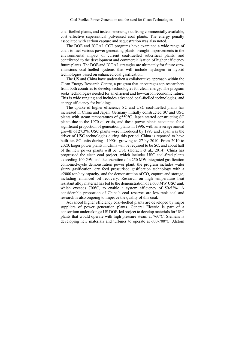coal-fuelled plants, and instead encourage utilising commercially available, cost effective supercritical pulverised coal plants. The energy penalty associated with carbon capture and sequestration was also noted.

The DOE and JCOAL CCT programs have examined a wide range of coals to fuel various power generating plants, brought improvements in the environmental impact of current coal-fuelled subcritical plants, and contributed to the development and commercialisation of higher efficiency future plants. The DOE and JCOAL strategies are ultimately for future zeroemissions coal-fuelled systems that will include hydrogen in hybrid technologies based on enhanced coal gasification.

The US and China have undertaken a collaborative approach within the Clean Energy Research Centre, a program that encourages top researchers from both countries to develop technologies for clean energy. The program seeks technologies needed for an efficient and low-carbon economic future. This is wide ranging and includes advanced coal-fuelled technologies, and energy efficiency for buildings.

The uptake of higher efficiency SC and USC coal-fuelled plants has increased in China and Japan. Germany initially constructed SC and USC plants with steam temperatures of ≥550°C. Japan started constructing SC plants due to the 1970 oil crisis, and these power plants accounted for a significant proportion of generation plants in 1996, with an average annual growth of 27.3%. USC plants were introduced by 1993 and Japan was the driver of USC technologies during this period. China is reported to have built ten SC units during ~1990s, growing to 27 by 2010. From 2010 to 2020, larger power plants in China will be required to be SC, and about half of the new power plants will be USC (Horach et al., 2014). China has progressed the clean coal project, which includes USC coal-fired plants exceeding 100 GW, and the operation of a 250 MW integrated gasification combined-cycle demonstration power plant; the program includes water slurry gasification, dry feed pressurised gasification technology with a  $>$ 2000 ton/day capacity, and the demonstration of CO<sub>2</sub> capture and storage, including enhanced oil recovery. Research on high temperature heat resistant alloy material has led to the demonstration of a 600 MW USC unit, which exceeds 700℃, to enable a system efficiency of 50**-**52%. A considerable proportion of China's coal reserves are low-rank coal and research is also ongoing to improve the quality of this coal.

Advanced higher efficiency coal-fuelled plants are developed by major suppliers of power generation plants. General Electric is part of a consortium undertaking a US DOE-led project to develop materials for USC plants that would operate with high pressure steam at 760℃. Siemens is developing new materials and turbines to operate at 600-700°C. Alstom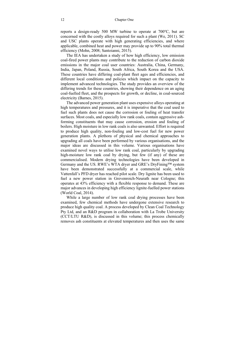reports a design-ready 500 MW turbine to operate at 700℃, but are concerned with the costly alloys required for such a plant (We, 2011). SC and USC plants operate with high generating efficiencies, and where applicable, combined heat and power may provide up to 90% total thermal efficiency (Mohn, 2008; Santoianni, 2015).

The IEA has undertaken a study of how high efficiency, low emission coal-fired power plants may contribute to the reduction of carbon dioxide emissions in the major coal user countries: Australia, China, Germany, India, Japan, Poland, Russia, South Africa, South Korea and the USA. These countries have differing coal‐plant fleet ages and efficiencies, and different local conditions and policies which impact on the capacity to implement advanced technologies. The study provides an overview of the differing trends for these countries, showing their dependence on an aging coal-fuelled fleet, and the prospects for growth, or decline, in coal-sourced electricity (Barnes, 2015).

The advanced power generation plant uses expensive alloys operating at high temperatures and pressures, and it is imperative that the coal used to fuel such plants does not cause the corrosion or fouling of heat transfer surfaces. Most coals, and especially low rank coals, contain aggressive ashforming constituents that may cause corrosion, erosion and fouling of boilers. High moisture in low rank coals is also unwanted. Effort is required to produce high quality, non-fouling and low-cost fuel for new power generation plants. A plethora of physical and chemical approaches to upgrading all coals have been performed by various organisations, and the major ideas are discussed in this volume. Various organisations have examined novel ways to utilise low rank coal, particularly by upgrading high-moisture low rank coal by drying, but few (if any) of these are commercialised. Modern drying technologies have been developed in Germany and the US. RWE's WTA dryer and GRE's DryFining™ system have been demonstrated successfully at a commercial scale, while Vattenfall's PFD dryer has reached pilot scale. Dry lignite has been used to fuel a new power station in Grevenroich-Neurath near Cologne; this operates at 43% efficiency with a flexible response to demand. These are major advances in developing high efficiency lignite-fuelled power stations (World Coal, 2014).

While a large number of low rank coal drying processes have been examined, few chemical methods have undergone extensive research to produce high quality coal. A process developed by Clean Coal Technology Pty Ltd, and an R&D program in collaboration with La Trobe University (CCT/LTU R&D), is discussed in this volume; this process chemically removes ash constituents at elevated temperatures and then uses the same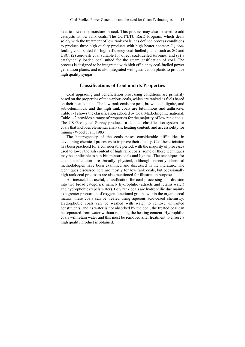heat to lower the moisture in coal. This process may also be used to add catalysts to low rank coals. The CCT/LTU R&D Program, which deals solely with the treatment of low rank coals, has defined process conditions to produce three high quality products with high heater content: (1) nonfouling coal, suited for high efficiency coal-fuelled plants such as SC and USC, (2) zero-ash coal suitable for direct coal-fuelled turbines, and (3) a catalytically loaded coal suited for the steam gasification of coal. The process is designed to be integrated with high efficiency coal-fuelled power generation plants, and is also integrated with gasification plants to produce high quality syngas.

### **Classifications of Coal and its Properties**

Coal upgrading and beneficiation processing conditions are primarily based on the properties of the various coals, which are ranked as fuels based on their heat content. The low rank coals are peat, brown coal, lignite, and sub-bituminous, and the high rank coals are bituminous and anthracite. Table 1-1 shows the classification adopted by Coal Marketing International. Table 1-2 provides a range of properties for the majority of low rank coals. The US Geological Survey produced a detailed classification system for coals that includes elemental analysis, heating content, and accessibility for mining (Wood et al., 1983).

The heterogeneity of the coals poses considerable difficulties in developing chemical processes to improve their quality. Coal beneficiation has been practiced for a considerable period, with the majority of processes used to lower the ash content of high rank coals; some of these techniques may be applicable to sub-bituminous coals and lignites. The techniques for coal beneficiation are broadly physical, although recently chemical methodologies have been examined and discussed in the literature. The techniques discussed here are mostly for low rank coals, but occasionally high rank coal processes are also mentioned for illustration purposes.

An inexact, but useful, classification for coal processing is a division into two broad categories, namely hydrophilic (attracts and retains water) and hydrophobic (repels water). Low rank coals are hydrophilic due mainly to a greater proportion of oxygen functional groups within the organic coal matrix; these coals can be treated using aqueous acid-based chemistry. Hydrophobic coals can be washed with water to remove unwanted constituents, and as water is not absorbed by the coal, the treated coal can be separated from water without reducing the heating content. Hydrophilic coals will retain water and this must be removed after treatment to ensure a high quality product is obtained.